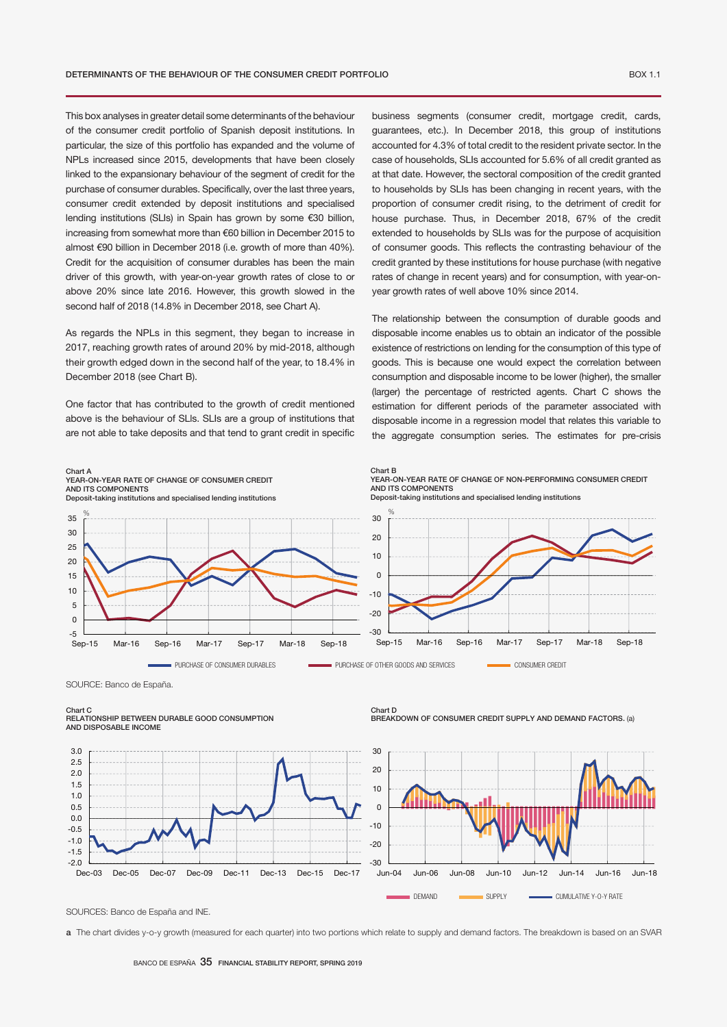This box analyses in greater detail some determinants of the behaviour of the consumer credit portfolio of Spanish deposit institutions. In particular, the size of this portfolio has expanded and the volume of NPLs increased since 2015, developments that have been closely linked to the expansionary behaviour of the segment of credit for the purchase of consumer durables. Specifically, over the last three years, consumer credit extended by deposit institutions and specialised lending institutions (SLIs) in Spain has grown by some €30 billion, increasing from somewhat more than €60 billion in December 2015 to almost €90 billion in December 2018 (i.e. growth of more than 40%). Credit for the acquisition of consumer durables has been the main driver of this growth, with year-on-year growth rates of close to or above 20% since late 2016. However, this growth slowed in the second half of 2018 (14.8% in December 2018, see Chart A).

As regards the NPLs in this segment, they began to increase in 2017, reaching growth rates of around 20% by mid-2018, although their growth edged down in the second half of the year, to 18.4% in December 2018 (see Chart B).

One factor that has contributed to the growth of credit mentioned above is the behaviour of SLls. SLIs are a group of institutions that are not able to take deposits and that tend to grant credit in specific

business segments (consumer credit, mortgage credit, cards, guarantees, etc.). In December 2018, this group of institutions accounted for 4.3% of total credit to the resident private sector. In the case of households, SLIs accounted for 5.6% of all credit granted as at that date. However, the sectoral composition of the credit granted to households by SLIs has been changing in recent years, with the proportion of consumer credit rising, to the detriment of credit for house purchase. Thus, in December 2018, 67% of the credit extended to households by SLIs was for the purpose of acquisition of consumer goods. This reflects the contrasting behaviour of the credit granted by these institutions for house purchase (with negative rates of change in recent years) and for consumption, with year-onyear growth rates of well above 10% since 2014.

The relationship between the consumption of durable goods and disposable income enables us to obtain an indicator of the possible existence of restrictions on lending for the consumption of this type of goods. This is because one would expect the correlation between consumption and disposable income to be lower (higher), the smaller (larger) the percentage of restricted agents. Chart C shows the estimation for different periods of the parameter associated with disposable income in a regression model that relates this variable to the aggregate consumption series. The estimates for pre-crisis



SOURCE: Banco de España.

Chart C

## RELATIONSHIP BETWEEN DURABLE GOOD CONSUMPTION AND DISPOSABLE INCOME

-2.0 -1.5 -1.0 -0.5 0.0 0.5 1.0 1.5 2.0 2.5 3.0 Dec-03 Dec-05 Dec-07 Dec-09 Dec-11 Dec-13 Dec-15 Dec-17





SOURCES: Banco de España and INE.

a The chart divides y-o-y growth (measured for each quarter) into two portions which relate to supply and demand factors. The breakdown is based on an SVAR